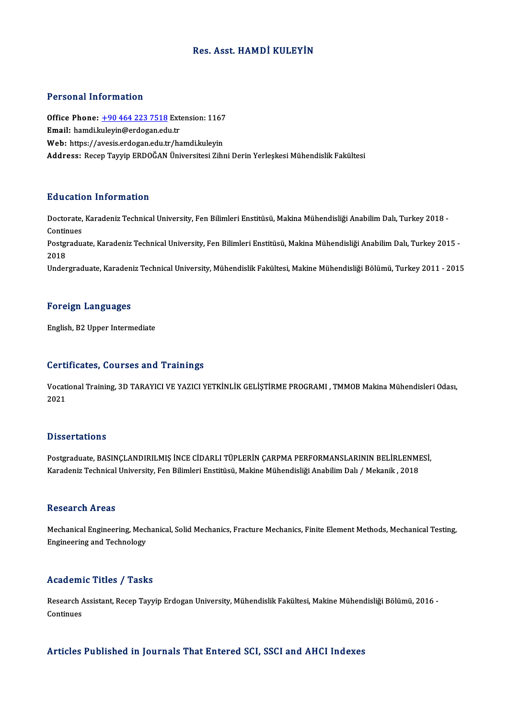## Res. Asst.HAMDİ KULEYİN

#### Personal Information

Personal Information<br>Office Phone: <u>+90 464 223 7518</u> Extension: 1167<br>Email: hamdi Inlevin@erdesan.edu.tr Procedular Machinescon<br>Office Phone: <u>+90 464 223 7518</u> Ext<br>Email: hamdi.k[uleyin@erdogan.ed](tel:+90 464 223 7518)u.tr Office Phone: <u>+90 464 223 7518</u> Extension: 1167<br>Email: hamdi.kuleyin@erdogan.edu.tr<br>Web: https://avesis.erdogan.edu.tr/hamdi.kuleyin<br>Address. Besen Taurin EBDOČAN Üniversitesi Zihr Email: hamdi.kuleyin@erdogan.edu.tr<br>Web: https://avesis.erdogan.edu.tr/hamdi.kuleyin<br>Address: Recep Tayyip ERDOĞAN Üniversitesi Zihni Derin Yerleşkesi Mühendislik Fakültesi

#### Education Information

**Education Information**<br>Doctorate, Karadeniz Technical University, Fen Bilimleri Enstitüsü, Makina Mühendisliği Anabilim Dalı, Turkey 2018 -<br>Continues Doctorate,<br>Continues<br>Postaredu Doctorate, Karadeniz Technical University, Fen Bilimleri Enstitüsü, Makina Mühendisliği Anabilim Dalı, Turkey 2018 -<br>Continues<br>Postgraduate, Karadeniz Technical University, Fen Bilimleri Enstitüsü, Makina Mühendisliği Anab Continues<br>Postgraduate, Karadeniz Technical University, Fen Bilimleri Enstitüsü, Makina Mühendisliği Anabilim Dalı, Turkey 2015 -<br>2018 Undergraduate, Karadeniz Technical University, Mühendislik Fakültesi, Makine Mühendisliği Bölümü, Turkey 2011 - 2015

#### Foreign Languages

English, B2 Upper Intermediate

#### Certificates, Courses and Trainings

Certificates, Courses and Trainings<br>Vocational Training, 3D TARAYICI VE YAZICI YETKİNLİK GELİŞTİRME PROGRAMI , TMMOB Makina Mühendisleri Odası,<br>2021 UUI LI<br>Vocati<br>2021 Dissertations

Dissertations<br>Postgraduate, BASINÇLANDIRILMIŞ İNCE CİDARLI TÜPLERİN ÇARPMA PERFORMANSLARININ BELİRLENMESİ,<br>Karadeniz Technicel University, Esp Bilimleri Enstitüsü, Meline Mühendieliği Anebilim Del; / Melcanik, 2019, Bassea tatronis<br>Postgraduate, BASINÇLANDIRILMIŞ İNCE CİDARLI TÜPLERİN ÇARPMA PERFORMANSLARININ BELİRLENMI<br>Karadeniz Technical University, Fen Bilimleri Enstitüsü, Makine Mühendisliği Anabilim Dalı / Mekanik , 2018 Karadeniz Technical University, Fen Bilimleri Enstitüsü, Makine Mühendisliği Anabilim Dalı / Mekanik , 2018<br>Research Areas

Research Areas<br>Mechanical Engineering, Mechanical, Solid Mechanics, Fracture Mechanics, Finite Element Methods, Mechanical Testing,<br>Engineering and Technology Rebeut on 111 eas<br>Mechanical Engineering, Mecl<br>Engineering and Technology

## Engineering and Technology<br>Academic Titles / Tasks

**Academic Titles / Tasks**<br>Research Assistant, Recep Tayyip Erdogan University, Mühendislik Fakültesi, Makine Mühendisliği Bölümü, 2016 -<br>Centinues Research A<br>Continues Articles Published in Journals That Entered SCI, SSCI and AHCI Indexes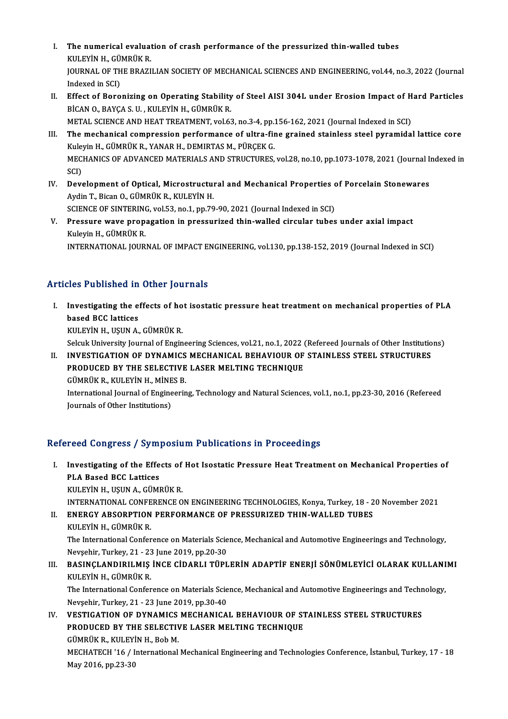- I. The numerical evaluation of crash performance of the pressurized thin-walled tubes<br>KULEVIN H. CÜMPÜK P The numerical evaluat<br>KULEYİN H., GÜMRÜK R.<br>JOUPNAL OF THE PRAZI JOURNAL OF THE BRAZILIAN SOCIETY OF MECHANICAL SCIENCES AND ENGINEERING, vol.44, no.3, 2022 (Journal<br>Indexed in SCI) KULEYİN H., GÜMRÜK R. I . JOURNAL OF THE BRAZILIAN SOCIETY OF MECHANICAL SCIENCES AND ENGINEERING, vol.44, no.3, 2022 (Journal Indexed in SCI)<br>II. Effect of Boronizing on Operating Stability of Steel AISI 304L under Erosion Impact of Hard Parti
- Indexed in SCI)<br>Effect of Boronizing on Operating Stability<br>BİCAN O., BAYÇA S. U. , KULEYİN H., GÜMRÜK R.<br>METAL SCIENCE AND HEAT TREATMENT vol 63 Effect of Boronizing on Operating Stability of Steel AISI 304L under Erosion Impact of H<br>BİCAN O., BAYÇA S. U. , KULEYİN H., GÜMRÜK R.<br>METAL SCIENCE AND HEAT TREATMENT, vol.63, no.3-4, pp.156-162, 2021 (Journal Indexed in
- BİCAN O., BAYÇA S. U. , KULEYİN H., GÜMRÜK R.<br>METAL SCIENCE AND HEAT TREATMENT, vol.63, no.3-4, pp.156-162, 2021 (Journal Indexed in SCI)<br>III. The mechanical compression performance of ultra-fine grained stainless steel py METAL SCIENCE AND HEAT TREATMENT, vol.63, no.3-4, pp.156-162, 2021 (Journal Indexed in SCI) The mechanical compression performance of ultra-fine grained stainless steel pyramidal lattice core<br>Kuleyin H., GÜMRÜK R., YANAR H., DEMIRTAS M., PÜRÇEK G.<br>MECHANICS OF ADVANCED MATERIALS AND STRUCTURES, vol.28, no.10, pp. Kule<br>MEC<br>SCI)<br>Dev MECHANICS OF ADVANCED MATERIALS AND STRUCTURES, vol.28, no.10, pp.1073-1078, 2021 (Journal Is<br>SCI)<br>IV. Development of Optical, Microstructural and Mechanical Properties of Porcelain Stonewares<br>Ardin T. Bisan O. CÜMBÜK B. K
- SCI)<br>IV. Development of Optical, Microstructural and Mechanical Properties of Porcelain Stonewares<br>Aydin T., Bican O., GÜMRÜK R., KULEYİN H. Development of Optical, Microstructural and Mechanical Properties of Aydin T., Bican O., GÜMRÜK R., KULEYİN H.<br>SCIENCE OF SINTERING, vol.53, no.1, pp.79-90, 2021 (Journal Indexed in SCI)<br>Pressure ways proposation in pressu
- V. Pressure wave propagation in pressurized thin-walled circular tubes under axial impact<br>Kuleyin H., GÜMRÜK R. SCIENCE OF SINTERING<br>Pressure wave prop:<br>Kuleyin H., GÜMRÜK R.<br>INTERNATIONAL JOUP. INTERNATIONAL JOURNAL OF IMPACT ENGINEERING, vol.130, pp.138-152, 2019 (Journal Indexed in SCI)

## Articles Published in Other Journals

- I. Investigating the effects of hot isostatic pressure heat treatment on mechanical properties of PLA<br>hased PCC lattices hose a distribution<br>Investigating the explored BCC lattices<br>VIII EVIN HOUSEN A Investigating the effects of ho<br>based BCC lattices<br>KULEYİN H., UŞUN A., GÜMRÜK R.<br>Selevk University Journal of Engin based BCC lattices<br>KULEYİN H., UŞUN A., GÜMRÜK R.<br>Selcuk University Journal of Engineering Sciences, vol.21, no.1, 2022 (Refereed Journals of Other Institutions) KULEYİN H., UŞUN A., GÜMRÜK R.<br>Selcuk University Journal of Engineering Sciences, vol.21, no.1, 2022 (Refereed Journals of Other Institution<br>II. INVESTIGATION OF DYNAMICS MECHANICAL BEHAVIOUR OF STAINLESS STEEL STRUCTURES<br>
- Selcuk University Journal of Engineering Sciences, vol.21, no.1, 2022 (<br>INVESTIGATION OF DYNAMICS MECHANICAL BEHAVIOUR OF<br>PRODUCED BY THE SELECTIVE LASER MELTING TECHNIQUE<br>CÜMPÜK P. KULEVIN H. MİNES P. INVESTIGATION OF DYNAMICS<br>PRODUCED BY THE SELECTIVE<br>GÜMRÜK R., KULEYİN H., MİNES B.<br>International Journal of Engineerin PRODUCED BY THE SELECTIVE LASER MELTING TECHNIQUE<br>GÜMRÜK R., KULEYİN H., MİNES B.<br>International Journal of Engineering, Technology and Natural Sciences, vol.1, no.1, pp.23-30, 2016 (Refereed Journals of Other Institutions)

## Refereed Congress / Symposium Publications in Proceedings

efereed Congress / Symposium Publications in Proceedings<br>I. Investigating of the Effects of Hot Isostatic Pressure Heat Treatment on Mechanical Properties of Investigating of the Effe<br>PLA Based BCC Lattices<br>PLA Based BCC Lattices PLA Based BCC Lattices<br>KULEYİN H., UŞUN A., GÜMRÜK R.

INTERNATIONAL CONFERENCE ON ENGINEERING TECHNOLOGIES, Konya, Turkey, 18 - 20 November 2021

II. ENERGY ABSORPTION PERFORMANCE OF PRESSURIZED THIN-WALLED TUBES KULEYİN H., GÜMRÜKR. ENERGY ABSORPTION PERFORMANCE OF PRESSURIZED THIN-WALLED TUBES<br>KULEYİN H., GÜMRÜK R.<br>The International Conference on Materials Science, Mechanical and Automotive Engineerings and Technology,<br>Navashir Turkay, 21, ...22 June KULEYİN H., GÜMRÜK R.<br>The International Conference on Materials Scie<br>Nevşehir, Turkey, 21 - 23 June 2019, pp.20-30<br>RASINCLANDIRU MIS İNCE CİDARLI TÜRL

## The International Conference on Materials Science, Mechanical and Automotive Engineerings and Technology,<br>Nevşehir, Turkey, 21 - 23 June 2019, pp.20-30<br>III. BASINÇLANDIRILMIŞ İNCE CİDARLI TÜPLERİN ADAPTİF ENERJİ SÖNÜMLEYİC Nevşehir, Turkey, 21 - 23<br>BASINÇLANDIRILMIŞ<br>KULEYİN H., GÜMRÜK R.<br>The International Confor BASINÇLANDIRILMIŞ İNCE CİDARLI TÜPLERİN ADAPTİF ENERJİ SÖNÜMLEYİCİ OLARAK KULLANI<br>KULEYİN H., GÜMRÜK R.<br>The International Conference on Materials Science, Mechanical and Automotive Engineerings and Technology,<br>Navashir Tur

KULEYİN H., GÜMRÜK R.<br>The International Conference on Materials Science, Mechanical and Automotive Engineerings and Technology,<br>Nevşehir, Turkey, 21 - 23 June 2019, pp.30-40 The International Conference on Materials Science, Mechanical and Automotive Engineerings and Techn<br>Nevşehir, Turkey, 21 - 23 June 2019, pp.30-40<br>IV. **VESTIGATION OF DYNAMICS MECHANICAL BEHAVIOUR OF STAINLESS STEEL STR** 

Nevşehir, Turkey, 21 - 23 June 2019, pp.30-40<br>VESTIGATION OF DYNAMICS MECHANICAL BEHAVIOUR OF ST<br>PRODUCED BY THE SELECTIVE LASER MELTING TECHNIQUE<br>CÜMPÜK P. KULEVİN H. Bob M **VESTIGATION OF DYNAMICS<br>PRODUCED BY THE SELECTIV<br>GÜMRÜK R., KULEYİN H., Bob M.<br>MECHATECH 116 / International** PRODUCED BY THE SELECTIVE LASER MELTING TECHNIQUE<br>GÜMRÜK R., KULEYİN H., Bob M.<br>MECHATECH '16 / International Mechanical Engineering and Technologies Conference, İstanbul, Turkey, 17 - 18<br>May 2016 nn 22 20

GÜMRÜK R., KULEYİ<br>MECHATECH '16 / I<br>May 2016, pp.23-30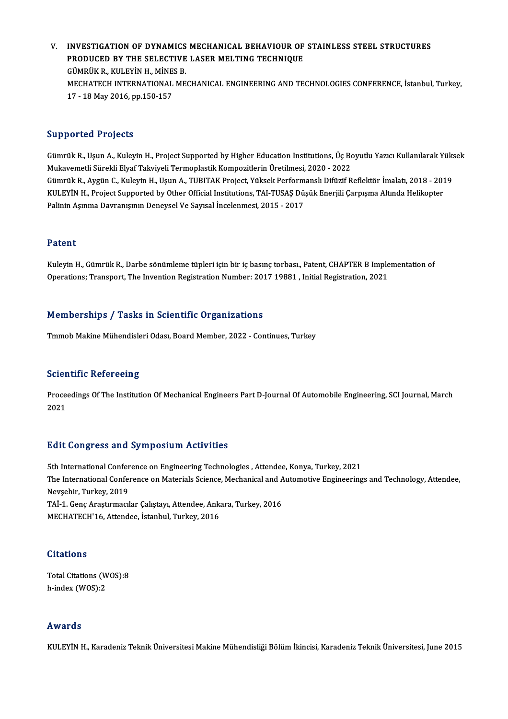V. INVESTIGATION OF DYNAMICS MECHANICAL BEHAVIOUR OF STAINLESS STEEL STRUCTURES INVESTIGATION OF DYNAMICS MECHANICAL BEHAVIOUR OF<br>PRODUCED BY THE SELECTIVE LASER MELTING TECHNIQUE<br>CÜMPÜK B. KULEVIN H. MİNES B INVESTIGATION OF DYNAMICS<br>PRODUCED BY THE SELECTIVE<br>GÜMRÜK R., KULEYİN H., MİNES B.<br>MECHATECH INTERNATIONAL ME PRODUCED BY THE SELECTIVE LASER MELTING TECHNIQUE<br>GÜMRÜK R., KULEYİN H., MİNES B.<br>MECHATECH INTERNATIONAL MECHANICAL ENGINEERING AND TECHNOLOGIES CONFERENCE, İstanbul, Turkey,<br>17, . 18 May 2016, np. 150, 157. GÜMRÜK R., KULEYİN H., MİNE<br>MECHATECH INTERNATIONAL<br>17 - 18 May 2016, pp.150-157 17 - 18 May 2016, pp.150-157<br>Supported Projects

GümrükR.,UşunA.,KuleyinH.,ProjectSupported byHigher EducationInstitutions,ÜçBoyutluYazıcıKulanılarakYüksek MukavemetliSürekliElyafTakviyeliTermoplastikKompozitlerinÜretilmesi,2020 -2022 Gümrük R., Uşun A., Kuleyin H., Project Supported by Higher Education Institutions, Üç Boyutlu Yazıcı Kullanılarak Yüks<br>Mukavemetli Sürekli Elyaf Takviyeli Termoplastik Kompozitlerin Üretilmesi, 2020 - 2022<br>Gümrük R., Aygü Mukavemetli Sürekli Elyaf Takviyeli Termoplastik Kompozitlerin Üretilmesi, 2020 - 2022<br>Gümrük R., Aygün C., Kuleyin H., Uşun A., TUBITAK Project, Yüksek Performanslı Difüzif Reflektör İmalatı, 2018 - 201<br>KULEYİN H., Projec Gümrük R., Aygün C., Kuleyin H., Uşun A., TUBITAK Project, Yüksek Perform<br>KULEYİN H., Project Supported by Other Official Institutions, TAI-TUSAŞ Dü:<br>Palinin Aşınma Davranışının Deneysel Ve Sayısal İncelenmesi, 2015 - 2017 Palinin Aşınma Davranışının Deneysel Ve Sayısal İncelenmesi, 2015 - 2017<br>Patent

Kuleyin H., Gümrük R., Darbe sönümleme tüpleri için bir iç basınç torbası., Patent, CHAPTER B Implementation of Operations; Transport, The Invention Registration Number: 2017 19881, Initial Registration, 2021

## Memberships / Tasks in Scientific Organizations

Tmmob Makine Mühendisleri Odası, Board Member, 2022 - Continues, Turkey

## **Scientific Refereeing**

Scie**ntific Refereeing**<br>Proceedings Of The Institution Of Mechanical Engineers Part D-Journal Of Automobile Engineering, SCI Journal, March<br>2021 Proce<br>Proce<br>2021

# 2021<br>Edit Congress and Symposium Activities

Edit Congress and Symposium Activities<br>5th International Conference on Engineering Technologies , Attendee, Konya, Turkey, 2021<br>The International Conference on Materials Science, Mechanical and Automotive Engineering The International Conference on Materials Science, Mechanical and Automotive Engineerings and Technology, Attendee,<br>Nevsehir, Turkev, 2019 5th International Confer<br>The International Confer<br>Nevşehir, Turkey, 2019<br>TAİ 1 Cons Anastumasıl The International Conference on Materials Science, Mechanical and A<br>Nevşehir, Turkey, 2019<br>TAİ-1. Genç Araştırmacılar Çalıştayı, Attendee, Ankara, Turkey, 2016<br>MECHATECH'16, Attendee, İstanbul Turkey, 2016 Nevşehir, Turkey, 2019<br>TAİ-1. Genç Araştırmacılar Çalıştayı, Attendee, Ank:<br>MECHATECH'16, Attendee, İstanbul, Turkey, 2016 MECHATECH'16, Attendee, İstanbul, Turkey, 2016<br>Citations

Total Citations (WOS):8 h-index (WOS):2

## Awards

KULEYİN H., Karadeniz Teknik Üniversitesi Makine Mühendisliği Bölüm İkincisi, Karadeniz Teknik Üniversitesi, June 2015